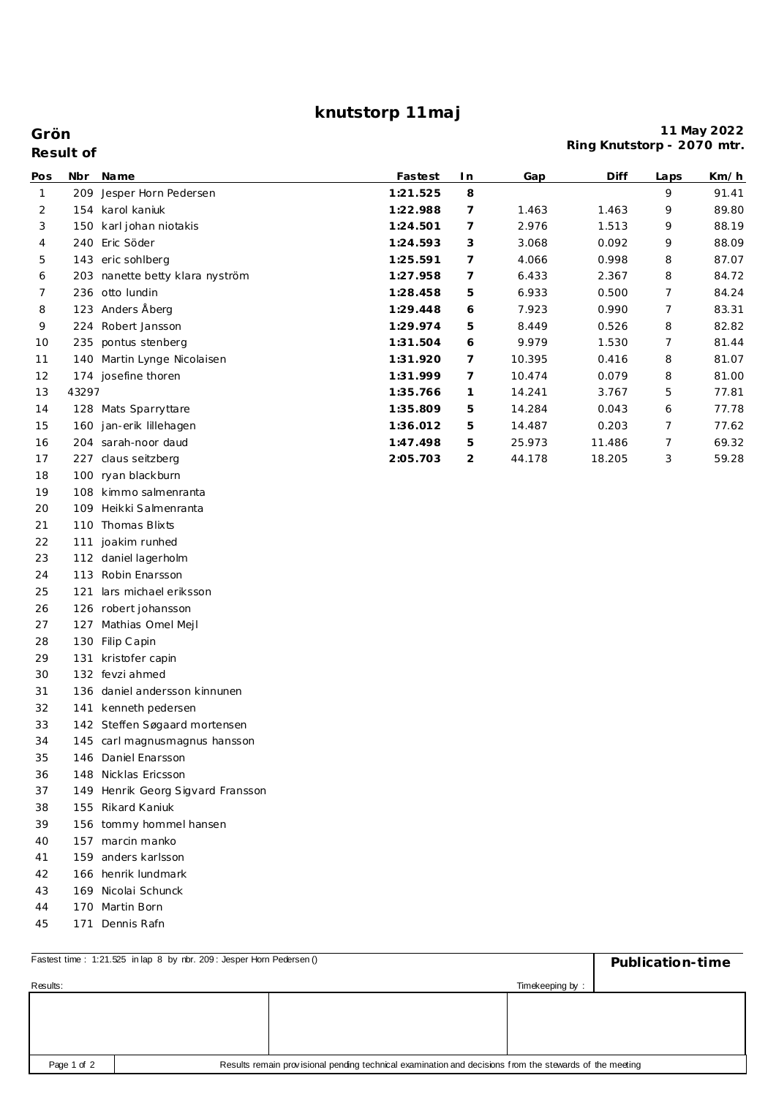## **knutstorp 11maj**

**Grön**

|              | Result of |                                   |          |                |        | iniy inidrotorp |      | $-2010111111$ |
|--------------|-----------|-----------------------------------|----------|----------------|--------|-----------------|------|---------------|
| Pos          |           | Nbr Name                          | Fastest  | I n            | Gap    | Diff            | Laps | Km/h          |
| $\mathbf{1}$ |           | 209 Jesper Horn Pedersen          | 1:21.525 | 8              |        |                 | 9    | 91.41         |
| 2            |           | 154 karol kaniuk                  | 1:22.988 | 7              | 1.463  | 1.463           | 9    | 89.80         |
| 3            |           | 150 karl johan niotakis           | 1:24.501 | $\overline{7}$ | 2.976  | 1.513           | 9    | 88.19         |
| 4            |           | 240 Eric Söder                    | 1:24.593 | 3              | 3.068  | 0.092           | 9    | 88.09         |
| 5            |           | 143 eric sohlberg                 | 1:25.591 | 7              | 4.066  | 0.998           | 8    | 87.07         |
| 6            |           | 203 nanette betty klara nyström   | 1:27.958 | 7              | 6.433  | 2.367           | 8    | 84.72         |
| 7            |           | 236 otto lundin                   | 1:28.458 | 5              | 6.933  | 0.500           | 7    | 84.24         |
| 8            |           | 123 Anders Åberg                  | 1:29.448 | 6              | 7.923  | 0.990           | 7    | 83.31         |
| 9            |           | 224 Robert Jansson                | 1:29.974 | 5              | 8.449  | 0.526           | 8    | 82.82         |
| 10           |           | 235 pontus stenberg               | 1:31.504 | 6              | 9.979  | 1.530           | 7    | 81.44         |
| 11           |           | 140 Martin Lynge Nicolaisen       | 1:31.920 | 7              | 10.395 | 0.416           | 8    | 81.07         |
| 12           |           | 174 josefine thoren               | 1:31.999 | 7              | 10.474 | 0.079           | 8    | 81.00         |
| 13           | 43297     |                                   | 1:35.766 | 1              | 14.241 | 3.767           | 5    | 77.81         |
| 14           |           | 128 Mats Sparryttare              | 1:35.809 | 5              | 14.284 | 0.043           | 6    | 77.78         |
| 15           |           | 160 jan-erik lillehagen           | 1:36.012 | 5              | 14.487 | 0.203           | 7    | 77.62         |
| 16           |           | 204 sarah-noor daud               | 1:47.498 | 5              | 25.973 | 11.486          | 7    | 69.32         |
| 17           |           | 227 claus seitzberg               | 2:05.703 | 2              | 44.178 | 18.205          | 3    | 59.28         |
| 18           |           | 100 ryan blackburn                |          |                |        |                 |      |               |
| 19           |           | 108 kimmo salmenranta             |          |                |        |                 |      |               |
| 20           |           | 109 Heikki Salmenranta            |          |                |        |                 |      |               |
| 21           |           | 110 Thomas Blixts                 |          |                |        |                 |      |               |
| 22           |           | 111 joakim runhed                 |          |                |        |                 |      |               |
| 23           |           | 112 daniel lagerholm              |          |                |        |                 |      |               |
| 24           |           | 113 Robin Enarsson                |          |                |        |                 |      |               |
| 25           | 121       | lars michael eriksson             |          |                |        |                 |      |               |
| 26           |           | 126 robert johansson              |          |                |        |                 |      |               |
| 27           |           | 127 Mathias Omel Mejl             |          |                |        |                 |      |               |
| 28           |           | 130 Filip Capin                   |          |                |        |                 |      |               |
| 29           |           | 131 kristofer capin               |          |                |        |                 |      |               |
| 30           |           | 132 fevzi ahmed                   |          |                |        |                 |      |               |
| 31           |           | 136 daniel andersson kinnunen     |          |                |        |                 |      |               |
| 32           |           | 141 kenneth pedersen              |          |                |        |                 |      |               |
| 33           |           | 142 Steffen Søgaard mortensen     |          |                |        |                 |      |               |
| 34           |           | 145 carl magnusmagnus hansson     |          |                |        |                 |      |               |
| 35           |           | 146 Daniel Enarsson               |          |                |        |                 |      |               |
| 36           |           | 148 Nicklas Ericsson              |          |                |        |                 |      |               |
| 37           |           | 149 Henrik Georg Sigvard Fransson |          |                |        |                 |      |               |
| 38           |           | 155 Rikard Kaniuk                 |          |                |        |                 |      |               |
| 39           |           | 156 tommy hommel hansen           |          |                |        |                 |      |               |
| 40           |           | 157 marcin manko                  |          |                |        |                 |      |               |
| 41           |           | 159 anders karlsson               |          |                |        |                 |      |               |
| 42           |           | 166 henrik lundmark               |          |                |        |                 |      |               |
| 43           |           | 169 Nicolai Schunck               |          |                |        |                 |      |               |
| 44           |           | 170 Martin Born                   |          |                |        |                 |      |               |
| 45           |           | 171 Dennis Rafn                   |          |                |        |                 |      |               |

| Fastest time: 1:21.525 in lap 8 by nbr. 209: Jesper Horn Pedersen ()                                                   | Publication-time |                 |  |  |  |
|------------------------------------------------------------------------------------------------------------------------|------------------|-----------------|--|--|--|
| Results:                                                                                                               |                  | Timekeeping by: |  |  |  |
|                                                                                                                        |                  |                 |  |  |  |
|                                                                                                                        |                  |                 |  |  |  |
|                                                                                                                        |                  |                 |  |  |  |
| Results remain provisional pending technical examination and decisions from the stewards of the meeting<br>Page 1 of 2 |                  |                 |  |  |  |